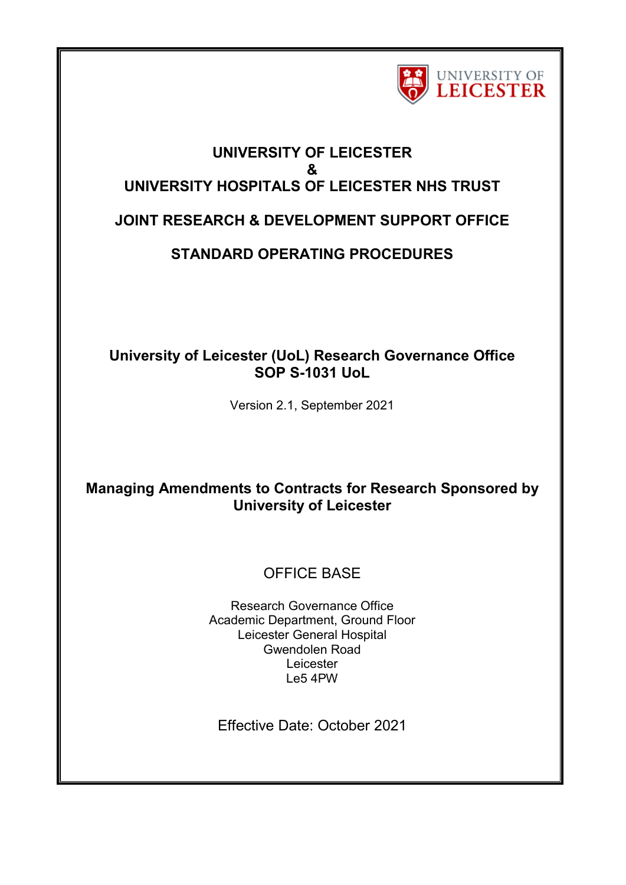

# **UNIVERSITY OF LEICESTER & UNIVERSITY HOSPITALS OF LEICESTER NHS TRUST JOINT RESEARCH & DEVELOPMENT SUPPORT OFFICE**

# **STANDARD OPERATING PROCEDURES**

## **University of Leicester (UoL) Research Governance Office SOP S-1031 UoL**

Version 2.1, September 2021

# **Managing Amendments to Contracts for Research Sponsored by University of Leicester**

# OFFICE BASE

Research Governance Office Academic Department, Ground Floor Leicester General Hospital Gwendolen Road Leicester Le5 4PW

Effective Date: October 2021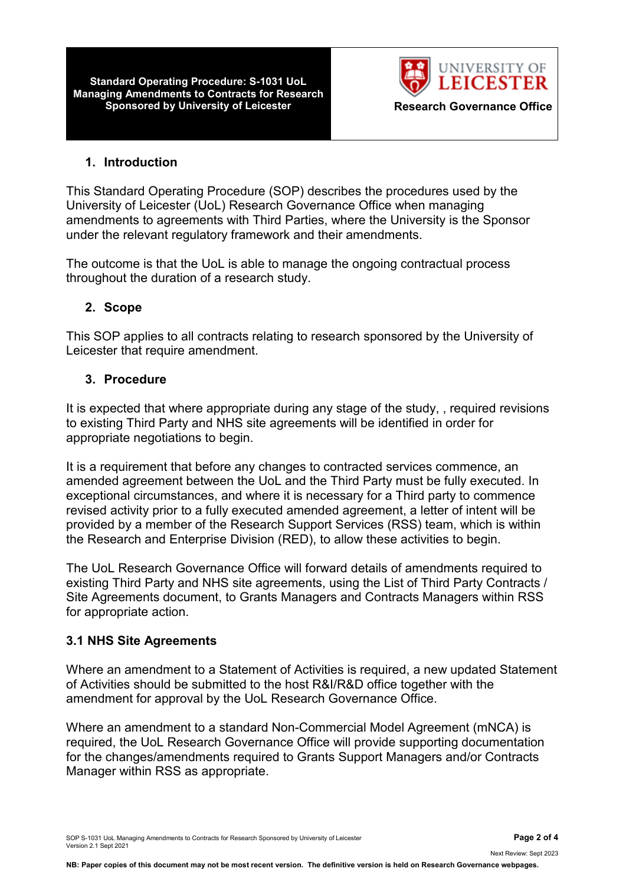**Standard Operating Procedure: S-1031 UoL Managing Amendments to Contracts for Research Sponsored by University of Leicester <b>Research Governance Office** 



#### **1. Introduction**

This Standard Operating Procedure (SOP) describes the procedures used by the University of Leicester (UoL) Research Governance Office when managing amendments to agreements with Third Parties, where the University is the Sponsor under the relevant regulatory framework and their amendments.

The outcome is that the UoL is able to manage the ongoing contractual process throughout the duration of a research study.

#### **2. Scope**

This SOP applies to all contracts relating to research sponsored by the University of Leicester that require amendment.

#### **3. Procedure**

It is expected that where appropriate during any stage of the study, , required revisions to existing Third Party and NHS site agreements will be identified in order for appropriate negotiations to begin.

It is a requirement that before any changes to contracted services commence, an amended agreement between the UoL and the Third Party must be fully executed. In exceptional circumstances, and where it is necessary for a Third party to commence revised activity prior to a fully executed amended agreement, a letter of intent will be provided by a member of the Research Support Services (RSS) team, which is within the Research and Enterprise Division (RED), to allow these activities to begin.

The UoL Research Governance Office will forward details of amendments required to existing Third Party and NHS site agreements, using the List of Third Party Contracts / Site Agreements document, to Grants Managers and Contracts Managers within RSS for appropriate action.

#### **3.1 NHS Site Agreements**

Where an amendment to a Statement of Activities is required, a new updated Statement of Activities should be submitted to the host R&I/R&D office together with the amendment for approval by the UoL Research Governance Office.

Where an amendment to a standard Non-Commercial Model Agreement (mNCA) is required, the UoL Research Governance Office will provide supporting documentation for the changes/amendments required to Grants Support Managers and/or Contracts Manager within RSS as appropriate.

Next Review: Sept 2023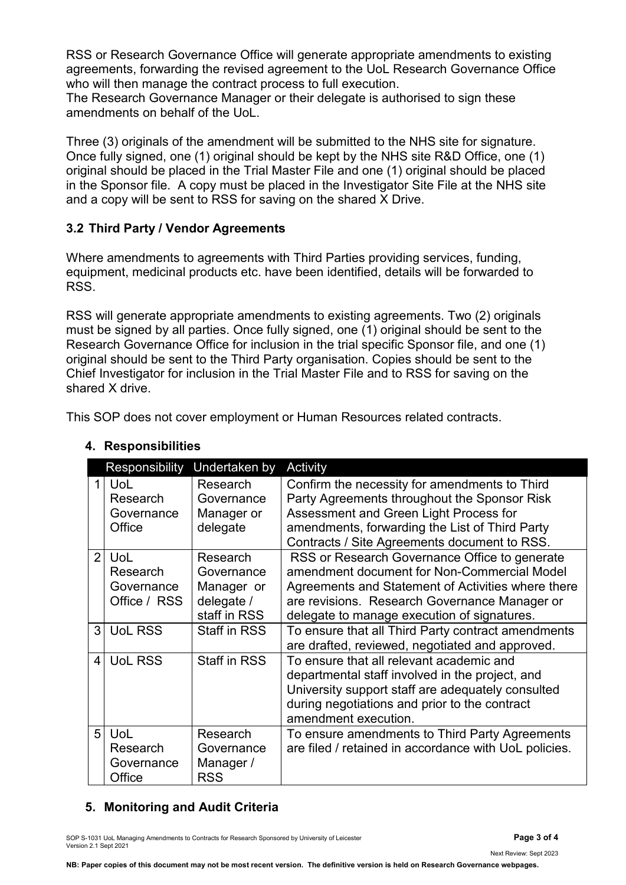RSS or Research Governance Office will generate appropriate amendments to existing agreements, forwarding the revised agreement to the UoL Research Governance Office who will then manage the contract process to full execution.

The Research Governance Manager or their delegate is authorised to sign these amendments on behalf of the UoL.

Three (3) originals of the amendment will be submitted to the NHS site for signature. Once fully signed, one (1) original should be kept by the NHS site R&D Office, one (1) original should be placed in the Trial Master File and one (1) original should be placed in the Sponsor file. A copy must be placed in the Investigator Site File at the NHS site and a copy will be sent to RSS for saving on the shared X Drive.

### **3.2 Third Party / Vendor Agreements**

Where amendments to agreements with Third Parties providing services, funding, equipment, medicinal products etc. have been identified, details will be forwarded to RSS.

RSS will generate appropriate amendments to existing agreements. Two (2) originals must be signed by all parties. Once fully signed, one (1) original should be sent to the Research Governance Office for inclusion in the trial specific Sponsor file, and one (1) original should be sent to the Third Party organisation. Copies should be sent to the Chief Investigator for inclusion in the Trial Master File and to RSS for saving on the shared X drive.

This SOP does not cover employment or Human Resources related contracts.

|                | Responsibility                                 | Undertaken by                                                      | Activity                                                                                                                                                                                                                                           |
|----------------|------------------------------------------------|--------------------------------------------------------------------|----------------------------------------------------------------------------------------------------------------------------------------------------------------------------------------------------------------------------------------------------|
|                | <b>UoL</b><br>Research<br>Governance<br>Office | Research<br>Governance<br>Manager or<br>delegate                   | Confirm the necessity for amendments to Third<br>Party Agreements throughout the Sponsor Risk<br>Assessment and Green Light Process for<br>amendments, forwarding the List of Third Party<br>Contracts / Site Agreements document to RSS.          |
| 2              | UoL<br>Research<br>Governance<br>Office / RSS  | Research<br>Governance<br>Manager or<br>delegate /<br>staff in RSS | RSS or Research Governance Office to generate<br>amendment document for Non-Commercial Model<br>Agreements and Statement of Activities where there<br>are revisions. Research Governance Manager or<br>delegate to manage execution of signatures. |
| 3              | <b>UoL RSS</b>                                 | <b>Staff in RSS</b>                                                | To ensure that all Third Party contract amendments<br>are drafted, reviewed, negotiated and approved.                                                                                                                                              |
| $\overline{4}$ | <b>UoL RSS</b>                                 | <b>Staff in RSS</b>                                                | To ensure that all relevant academic and<br>departmental staff involved in the project, and<br>University support staff are adequately consulted<br>during negotiations and prior to the contract<br>amendment execution.                          |
| 5              | <b>UoL</b><br>Research<br>Governance<br>Office | Research<br>Governance<br>Manager /<br>RSS                         | To ensure amendments to Third Party Agreements<br>are filed / retained in accordance with UoL policies.                                                                                                                                            |

### **4. Responsibilities**

### **5. Monitoring and Audit Criteria**

SOP S-1031 UoL Managing Amendments to Contracts for Research Sponsored by University of Leicester **Page 3 of 4** Version 2.1 Sept 2021